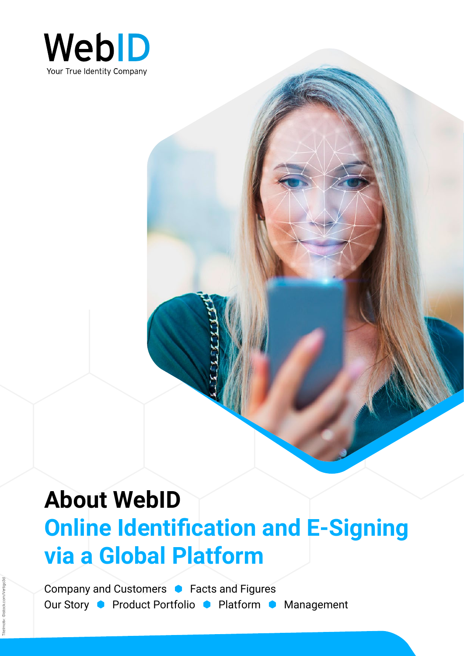

# **About WebID Online Identification and E-Signing via a Global Platform**

Company and Customers **C** Facts and Figures Our Story • Product Portfolio • Platform • Management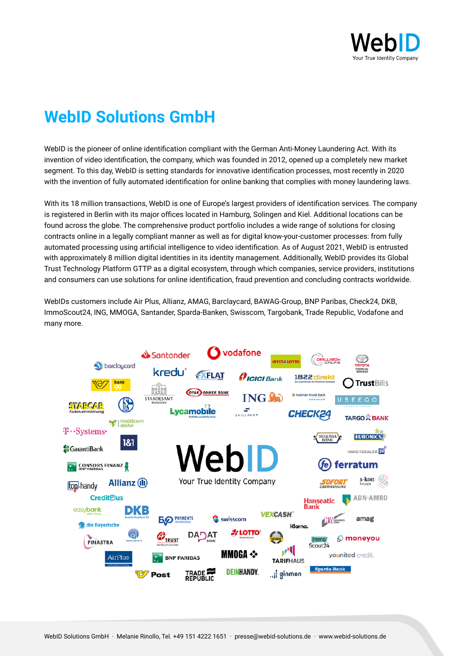

# **WebID Solutions GmbH**

WebID is the pioneer of online identification compliant with the German Anti-Money Laundering Act. With its invention of video identification, the company, which was founded in 2012, opened up a completely new market segment. To this day, WebID is setting standards for innovative identification processes, most recently in 2020 with the invention of fully automated identification for online banking that complies with money laundering laws.

With its 18 million transactions, WebID is one of Europe's largest providers of identification services. The company is registered in Berlin with its major offices located in Hamburg, Solingen and Kiel. Additional locations can be found across the globe. The comprehensive product portfolio includes a wide range of solutions for closing contracts online in a legally compliant manner as well as for digital know-your-customer processes: from fully automated processing using artificial intelligence to video identification. As of August 2021, WebID is entrusted with approximately 8 million digital identities in its identity management. Additionally, WebID provides its Global Trust Technology Platform GTTP as a digital ecosystem, through which companies, service providers, institutions and consumers can use solutions for online identification, fraud prevention and concluding contracts worldwide.

WebIDs customers include Air Plus, Allianz, AMAG, Barclaycard, BAWAG-Group, BNP Paribas, Check24, DKB, ImmoScout24, ING, MMOGA, Santander, Sparda-Banken, Swisscom, Targobank, Trade Republic, Vodafone and many more.

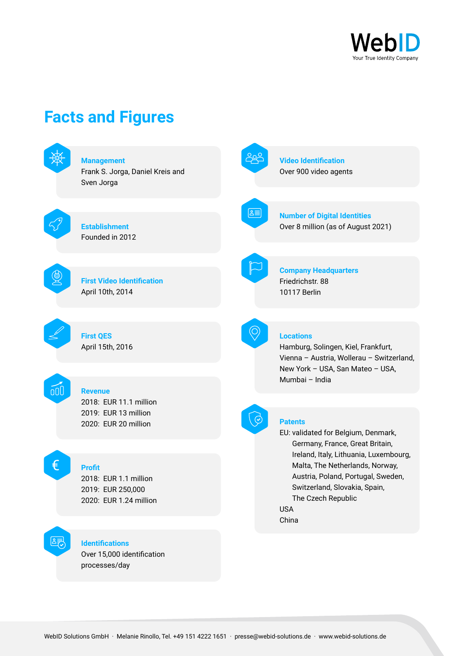

# **Facts and Figures**

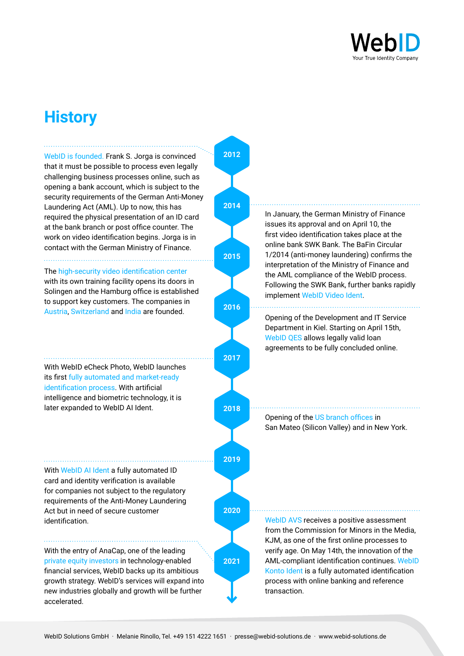

# **History**

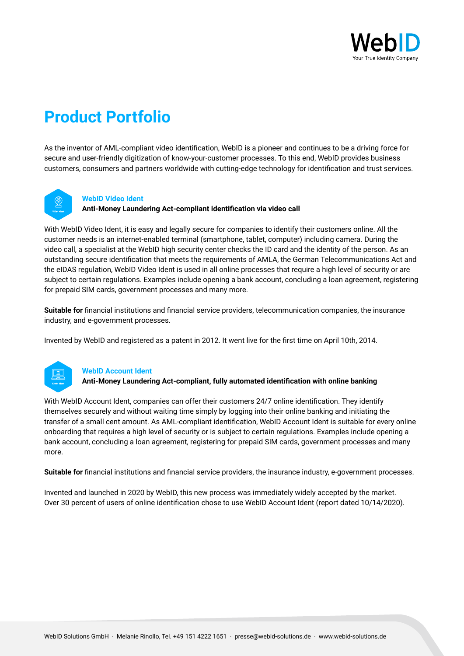

# **Product Portfolio**

As the inventor of AML-compliant video identification, WebID is a pioneer and continues to be a driving force for secure and user-friendly digitization of know-your-customer processes. To this end, WebID provides business customers, consumers and partners worldwide with cutting-edge technology for identification and trust services.



# **WebID Video Ident**

**Anti-Money Laundering Act-compliant identification via video call**

With WebID Video Ident, it is easy and legally secure for companies to identify their customers online. All the customer needs is an internet-enabled terminal (smartphone, tablet, computer) including camera. During the video call, a specialist at the WebID high security center checks the ID card and the identity of the person. As an outstanding secure identification that meets the requirements of AMLA, the German Telecommunications Act and the eIDAS regulation, WebID Video Ident is used in all online processes that require a high level of security or are subject to certain regulations. Examples include opening a bank account, concluding a loan agreement, registering for prepaid SIM cards, government processes and many more.

**Suitable for** financial institutions and financial service providers, telecommunication companies, the insurance industry, and e-government processes.

Invented by WebID and registered as a patent in 2012. It went live for the first time on April 10th, 2014.



# **WebID Account Ident**

**Anti-Money Laundering Act-compliant, fully automated identification with online banking**

With WebID Account Ident, companies can offer their customers 24/7 online identification. They identify themselves securely and without waiting time simply by logging into their online banking and initiating the transfer of a small cent amount. As AML-compliant identification, WebID Account Ident is suitable for every online onboarding that requires a high level of security or is subject to certain regulations. Examples include opening a bank account, concluding a loan agreement, registering for prepaid SIM cards, government processes and many more.

**Suitable for** financial institutions and financial service providers, the insurance industry, e-government processes.

Invented and launched in 2020 by WebID, this new process was immediately widely accepted by the market. Over 30 percent of users of online identification chose to use WebID Account Ident (report dated 10/14/2020).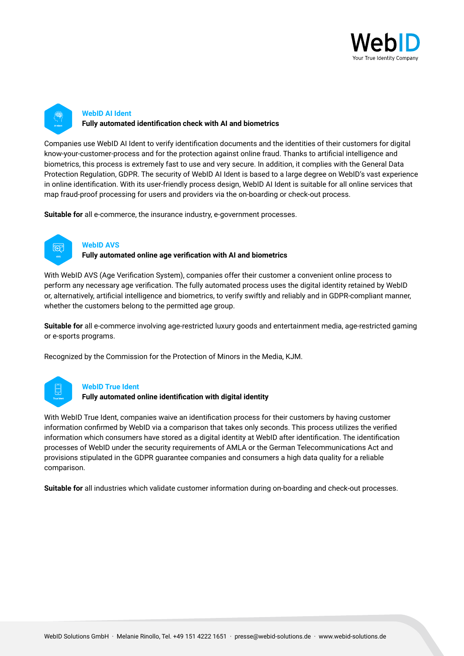



Companies use WebID AI Ident to verify identification documents and the identities of their customers for digital know-your-customer-process and for the protection against online fraud. Thanks to artificial intelligence and biometrics, this process is extremely fast to use and very secure. In addition, it complies with the General Data Protection Regulation, GDPR. The security of WebID AI Ident is based to a large degree on WebID's vast experience in online identification. With its user-friendly process design, WebID AI Ident is suitable for all online services that map fraud-proof processing for users and providers via the on-boarding or check-out process.

**Suitable for** all e-commerce, the insurance industry, e-government processes.



# **WebID AVS**

**Fully automated online age verification with AI and biometrics**

With WebID AVS (Age Verification System), companies offer their customer a convenient online process to perform any necessary age verification. The fully automated process uses the digital identity retained by WebID or, alternatively, artificial intelligence and biometrics, to verify swiftly and reliably and in GDPR-compliant manner, whether the customers belong to the permitted age group.

**Suitable for** all e-commerce involving age-restricted luxury goods and entertainment media, age-restricted gaming or e-sports programs.

Recognized by the Commission for the Protection of Minors in the Media, KJM.



# **WebID True Ident**

**Fully automated online identification with digital identity** 

With WebID True Ident, companies waive an identification process for their customers by having customer information confirmed by WebID via a comparison that takes only seconds. This process utilizes the verified information which consumers have stored as a digital identity at WebID after identification. The identification processes of WebID under the security requirements of AMLA or the German Telecommunications Act and provisions stipulated in the GDPR guarantee companies and consumers a high data quality for a reliable comparison.

**Suitable for** all industries which validate customer information during on-boarding and check-out processes.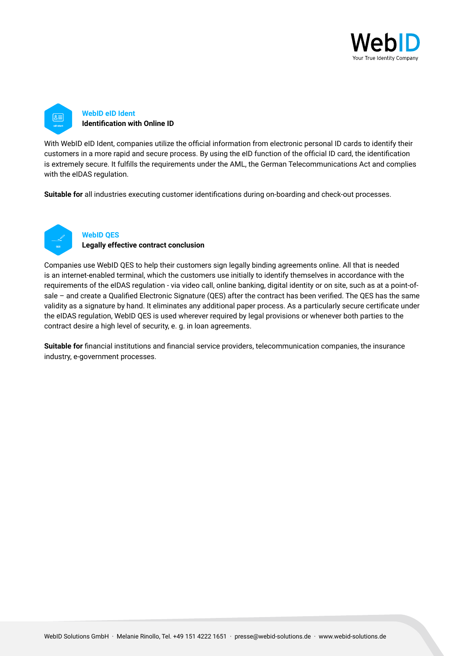



With WebID eID Ident, companies utilize the official information from electronic personal ID cards to identify their customers in a more rapid and secure process. By using the eID function of the official ID card, the identification is extremely secure. It fulfills the requirements under the AML, the German Telecommunications Act and complies with the eIDAS regulation.

**Suitable for** all industries executing customer identifications during on-boarding and check-out processes.



# **WebID QES**

**Legally effective contract conclusion**

Companies use WebID QES to help their customers sign legally binding agreements online. All that is needed is an internet-enabled terminal, which the customers use initially to identify themselves in accordance with the requirements of the eIDAS regulation - via video call, online banking, digital identity or on site, such as at a point-ofsale – and create a Qualified Electronic Signature (QES) after the contract has been verified. The QES has the same validity as a signature by hand. It eliminates any additional paper process. As a particularly secure certificate under the eIDAS regulation, WebID QES is used wherever required by legal provisions or whenever both parties to the contract desire a high level of security, e. g. in loan agreements.

**Suitable for** financial institutions and financial service providers, telecommunication companies, the insurance industry, e-government processes.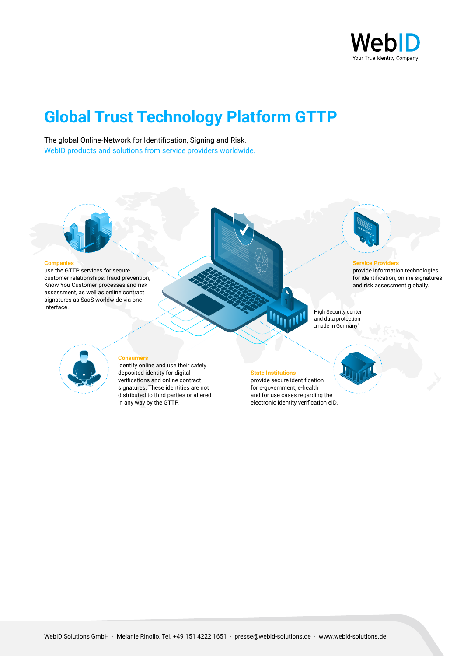

# **Global Trust Technology Platform GTTP**

The global Online-Network for Identification, Signing and Risk. WebID products and solutions from service providers worldwide.



#### **Companies**

use the GTTP services for secure customer relationships: fraud prevention, Know You Customer processes and risk assessment, as well as online contract signatures as SaaS worldwide via one interface.





#### **Service Providers**

provide information technologies for identification, online signatures and risk assessment globally.

High Security center and data protection "made in Germany"



#### **Consumers**

identify online and use their safely deposited identity for digital verifications and online contract signatures. These identities are not distributed to third parties or altered in any way by the GTTP.

# **State Institutions**

provide secure identification for e-government, e-health and for use cases regarding the electronic identity verification eID.